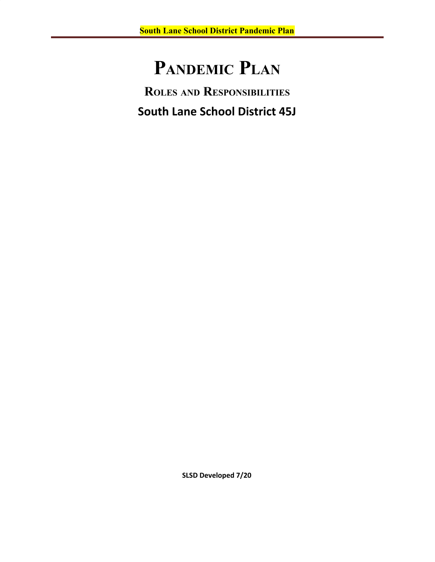# **PANDEMIC PLAN**

**ROLES AND RESPONSIBILITIES South Lane School District 45J**

**SLSD Developed 7/20**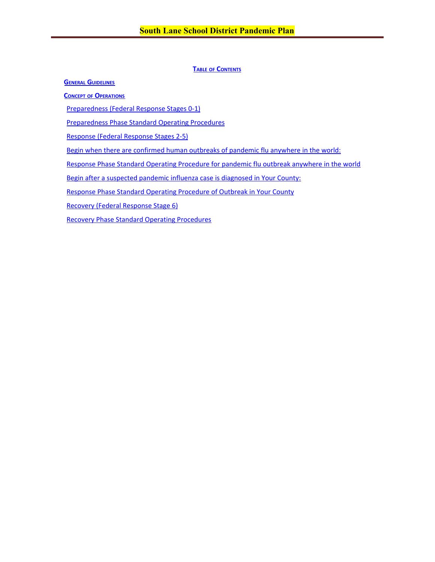# **TABLE OF CONTENTS**

**GENERAL GUIDELINES**

**[C](#page-3-0)[ONCEPT](#page-3-0) [OF](#page-3-0) [O](#page-3-0)[PERATIONS](#page-3-0)**

[Preparedness \(Federal Response Stages 0-1\)](#page-3-1)

[Preparedness Phase Standard Operating Procedures](#page-4-0)

[Response \(Federal Response Stages 2-5\)](#page-7-0)

[Begin when there are confirmed human outbreaks of pandemic flu anywhere in the world:](#page-7-1)

Response Phase Standard Operating Procedure for pandemic flu outbreak anywhere in the world

Begin after a suspected pandemic influenza case is diagnosed in Your County:

Response Phase Standard Operating Procedure of Outbreak in Your County

[Recovery \(Federal Response Stage 6\)](#page-16-0)

[Recovery Phase Standard Operating Procedures](#page-16-1)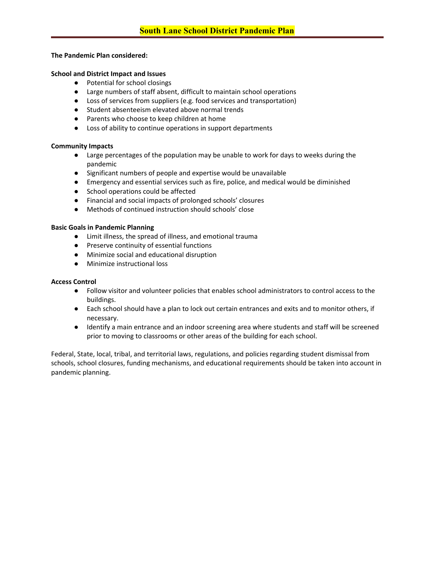# **The Pandemic Plan considered:**

#### **School and District Impact and Issues**

- Potential for school closings
- Large numbers of staff absent, difficult to maintain school operations
- Loss of services from suppliers (e.g. food services and transportation)
- Student absenteeism elevated above normal trends
- Parents who choose to keep children at home
- Loss of ability to continue operations in support departments

#### **Community Impacts**

- Large percentages of the population may be unable to work for days to weeks during the pandemic
- Significant numbers of people and expertise would be unavailable
- Emergency and essential services such as fire, police, and medical would be diminished
- School operations could be affected
- Financial and social impacts of prolonged schools' closures
- Methods of continued instruction should schools' close

#### **Basic Goals in Pandemic Planning**

- Limit illness, the spread of illness, and emotional trauma
- Preserve continuity of essential functions
- Minimize social and educational disruption
- Minimize instructional loss

# **Access Control**

- Follow visitor and volunteer policies that enables school administrators to control access to the buildings.
- Each school should have a plan to lock out certain entrances and exits and to monitor others, if necessary.
- Identify a main entrance and an indoor screening area where students and staff will be screened prior to moving to classrooms or other areas of the building for each school.

Federal, State, local, tribal, and territorial laws, regulations, and policies regarding student dismissal from schools, school closures, funding mechanisms, and educational requirements should be taken into account in pandemic planning.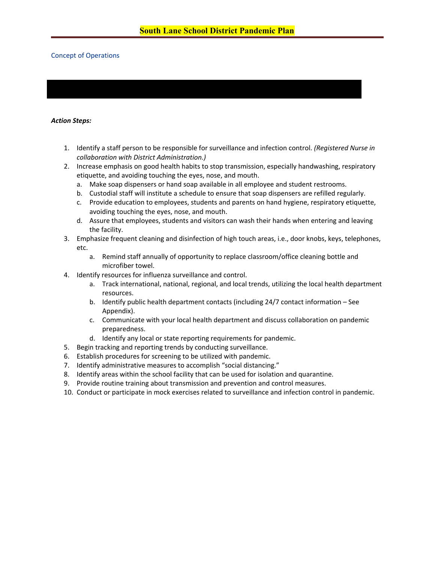## <span id="page-3-1"></span><span id="page-3-0"></span>Concept of Operations

#### *Action Steps:*

- 1. Identify a staff person to be responsible for surveillance and infection control. *(Registered Nurse in collaboration with District Administration.)*
- 2. Increase emphasis on good health habits to stop transmission, especially handwashing, respiratory etiquette, and avoiding touching the eyes, nose, and mouth.
	- a. Make soap dispensers or hand soap available in all employee and student restrooms.
	- b. Custodial staff will institute a schedule to ensure that soap dispensers are refilled regularly.
	- c. Provide education to employees, students and parents on hand hygiene, respiratory etiquette, avoiding touching the eyes, nose, and mouth.
	- d. Assure that employees, students and visitors can wash their hands when entering and leaving the facility.
- 3. Emphasize frequent cleaning and disinfection of high touch areas, i.e., door knobs, keys, telephones, etc.
	- a. Remind staff annually of opportunity to replace classroom/office cleaning bottle and microfiber towel.
- 4. Identify resources for influenza surveillance and control.
	- a. Track international, national, regional, and local trends, utilizing the local health department resources.
	- b. Identify public health department contacts (including 24/7 contact information See Appendix).
	- c. Communicate with your local health department and discuss collaboration on pandemic preparedness.
	- d. Identify any local or state reporting requirements for pandemic.
- 5. Begin tracking and reporting trends by conducting surveillance.
- 6. Establish procedures for screening to be utilized with pandemic.
- 7. Identify administrative measures to accomplish "social distancing."
- 8. Identify areas within the school facility that can be used for isolation and quarantine.
- 9. Provide routine training about transmission and prevention and control measures.
- 10. Conduct or participate in mock exercises related to surveillance and infection control in pandemic.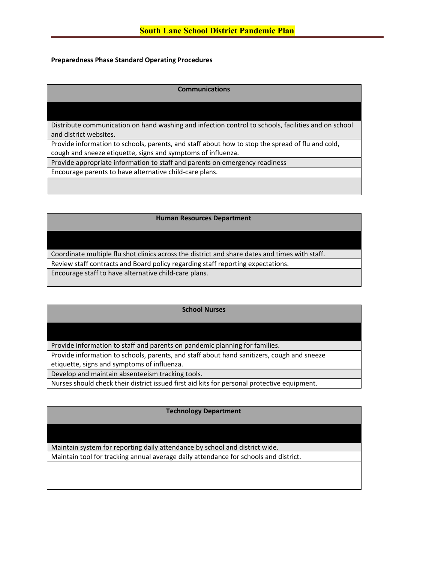# <span id="page-4-0"></span>**Preparedness Phase Standard Operating Procedures**

# **Communications**

Distribute communication on hand washing and infection control to schools, facilities and on school and district websites.

Provide information to schools, parents, and staff about how to stop the spread of flu and cold, cough and sneeze etiquette, signs and symptoms of influenza.

Provide appropriate information to staff and parents on emergency readiness

Encourage parents to have alternative child-care plans.

#### **Human Resources Department**

Coordinate multiple flu shot clinics across the district and share dates and times with staff. Review staff contracts and Board policy regarding staff reporting expectations. Encourage staff to have alternative child-care plans.

#### **School Nurses**

Provide information to staff and parents on pandemic planning for families.

Provide information to schools, parents, and staff about hand sanitizers, cough and sneeze etiquette, signs and symptoms of influenza.

Develop and maintain absenteeism tracking tools.

Nurses should check their district issued first aid kits for personal protective equipment.

#### **Technology Department**

Maintain system for reporting daily attendance by school and district wide.

Maintain tool for tracking annual average daily attendance for schools and district.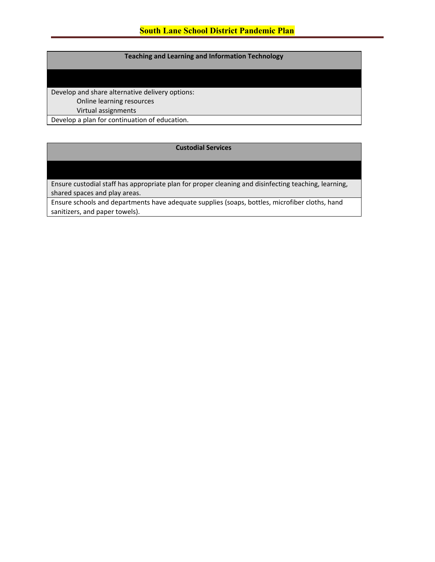# **Teaching and Learning and Information Technology**

Develop and share alternative delivery options: Online learning resources Virtual assignments Develop a plan for continuation of education.

# **Custodial Services**

Ensure custodial staff has appropriate plan for proper cleaning and disinfecting teaching, learning, shared spaces and play areas.

Ensure schools and departments have adequate supplies (soaps, bottles, microfiber cloths, hand sanitizers, and paper towels).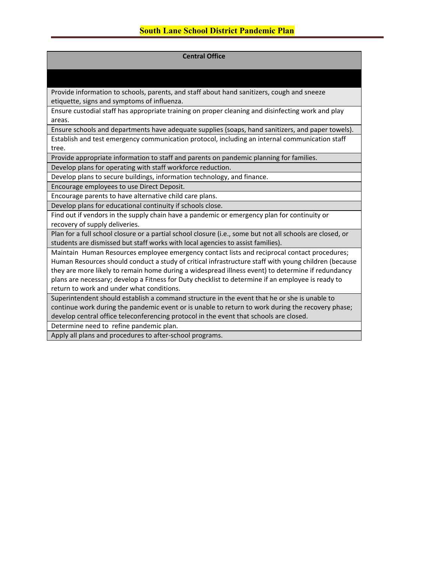## **Central Office**

Provide information to schools, parents, and staff about hand sanitizers, cough and sneeze etiquette, signs and symptoms of influenza.

Ensure custodial staff has appropriate training on proper cleaning and disinfecting work and play areas.

Ensure schools and departments have adequate supplies (soaps, hand sanitizers, and paper towels). Establish and test emergency communication protocol, including an internal communication staff tree.

Provide appropriate information to staff and parents on pandemic planning for families.

Develop plans for operating with staff workforce reduction.

Develop plans to secure buildings, information technology, and finance.

Encourage employees to use Direct Deposit.

Encourage parents to have alternative child care plans.

Develop plans for educational continuity if schools close.

Find out if vendors in the supply chain have a pandemic or emergency plan for continuity or recovery of supply deliveries.

Plan for a full school closure or a partial school closure (i.e., some but not all schools are closed, or students are dismissed but staff works with local agencies to assist families).

Maintain Human Resources employee emergency contact lists and reciprocal contact procedures; Human Resources should conduct a study of critical infrastructure staff with young children (because they are more likely to remain home during a widespread illness event) to determine if redundancy plans are necessary; develop a Fitness for Duty checklist to determine if an employee is ready to return to work and under what conditions.

Superintendent should establish a command structure in the event that he or she is unable to continue work during the pandemic event or is unable to return to work during the recovery phase; develop central office teleconferencing protocol in the event that schools are closed.

Determine need to refine pandemic plan.

Apply all plans and procedures to after-school programs.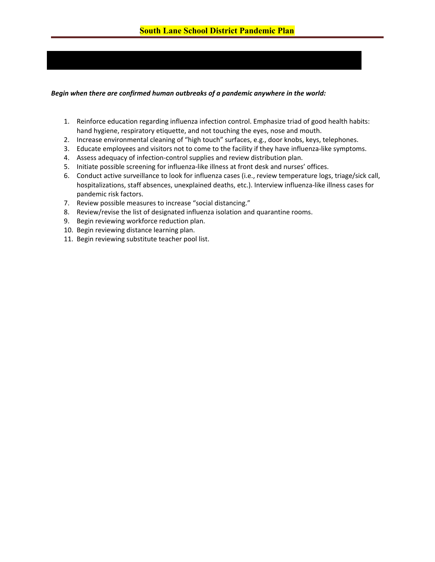# <span id="page-7-1"></span><span id="page-7-0"></span>*Begin when there are confirmed human outbreaks of a pandemic anywhere in the world:*

- 1. Reinforce education regarding influenza infection control. Emphasize triad of good health habits: hand hygiene, respiratory etiquette, and not touching the eyes, nose and mouth.
- 2. Increase environmental cleaning of "high touch" surfaces, e.g., door knobs, keys, telephones.
- 3. Educate employees and visitors not to come to the facility if they have influenza-like symptoms.
- 4. Assess adequacy of infection-control supplies and review distribution plan.
- 5. Initiate possible screening for influenza-like illness at front desk and nurses' offices.
- 6. Conduct active surveillance to look for influenza cases (i.e., review temperature logs, triage/sick call, hospitalizations, staff absences, unexplained deaths, etc.). Interview influenza-like illness cases for pandemic risk factors.
- 7. Review possible measures to increase "social distancing."
- 8. Review/revise the list of designated influenza isolation and quarantine rooms.
- 9. Begin reviewing workforce reduction plan.
- 10. Begin reviewing distance learning plan.
- 11. Begin reviewing substitute teacher pool list.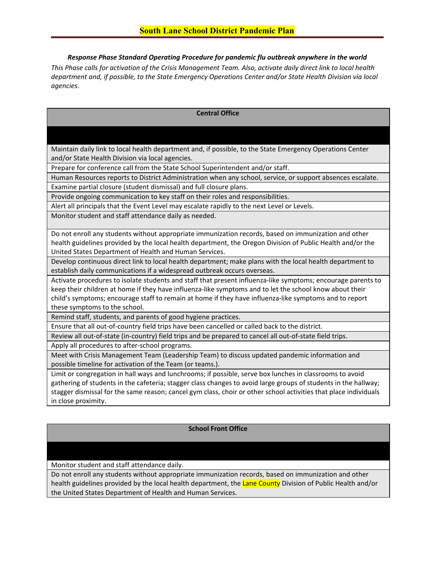*Response Phase Standard Operating Procedure for pandemic flu outbreak anywhere in the world*

*This Phase calls for activation of the Crisis Management Team. Also, activate daily direct link to local health department and, if possible, to the State Emergency Operations Center and/or State Health Division via local agencies*.

# **Central Office**

Maintain daily link to local health department and, if possible, to the State Emergency Operations Center and/or State Health Division via local agencies.

Prepare for conference call from the State School Superintendent and/or staff.

Human Resources reports to District Administration when any school, service, or support absences escalate. Examine partial closure (student dismissal) and full closure plans.

Provide ongoing communication to key staff on their roles and responsibilities.

Alert all principals that the Event Level may escalate rapidly to the next Level or Levels.

Monitor student and staff attendance daily as needed.

Do not enroll any students without appropriate immunization records, based on immunization and other health guidelines provided by the local health department, the Oregon Division of Public Health and/or the United States Department of Health and Human Services.

Develop continuous direct link to local health department; make plans with the local health department to establish daily communications if a widespread outbreak occurs overseas.

Activate procedures to isolate students and staff that present influenza-like symptoms; encourage parents to keep their children at home if they have influenza-like symptoms and to let the school know about their child's symptoms; encourage staff to remain at home if they have influenza-like symptoms and to report these symptoms to the school.

Remind staff, students, and parents of good hygiene practices.

Ensure that all out-of-country field trips have been cancelled or called back to the district.

Review all out-of-state (in-country) field trips and be prepared to cancel all out-of-state field trips.

Apply all procedures to after-school programs.

Meet with Crisis Management Team (Leadership Team) to discuss updated pandemic information and possible timeline for activation of the Team (or teams.).

Limit or congregation in hall ways and lunchrooms; if possible, serve box lunches in classrooms to avoid gathering of students in the cafeteria; stagger class changes to avoid large groups of students in the hallway; stagger dismissal for the same reason; cancel gym class, choir or other school activities that place individuals in close proximity.

#### **School Front Office**

Monitor student and staff attendance daily.

Do not enroll any students without appropriate immunization records, based on immunization and other health guidelines provided by the local health department, the Lane County Division of Public Health and/or the United States Department of Health and Human Services.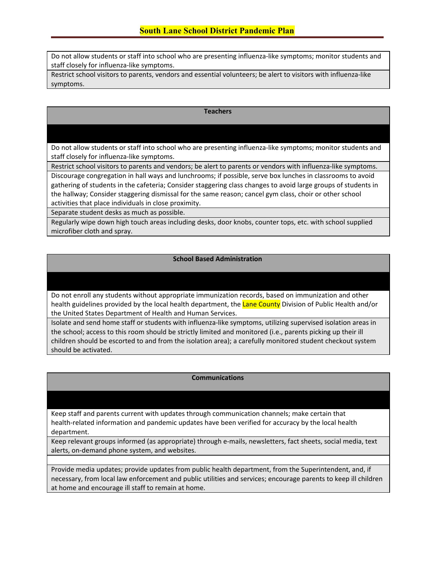Do not allow students or staff into school who are presenting influenza-like symptoms; monitor students and staff closely for influenza-like symptoms.

Restrict school visitors to parents, vendors and essential volunteers; be alert to visitors with influenza-like symptoms.

#### **Teachers**

Do not allow students or staff into school who are presenting influenza-like symptoms; monitor students and staff closely for influenza-like symptoms.

Restrict school visitors to parents and vendors; be alert to parents or vendors with influenza-like symptoms.

Discourage congregation in hall ways and lunchrooms; if possible, serve box lunches in classrooms to avoid gathering of students in the cafeteria; Consider staggering class changes to avoid large groups of students in the hallway; Consider staggering dismissal for the same reason; cancel gym class, choir or other school activities that place individuals in close proximity.

Separate student desks as much as possible.

Regularly wipe down high touch areas including desks, door knobs, counter tops, etc. with school supplied microfiber cloth and spray.

# **School Based Administration**

Do not enroll any students without appropriate immunization records, based on immunization and other health guidelines provided by the local health department, the Lane County Division of Public Health and/or the United States Department of Health and Human Services.

Isolate and send home staff or students with influenza-like symptoms, utilizing supervised isolation areas in the school; access to this room should be strictly limited and monitored (i.e., parents picking up their ill children should be escorted to and from the isolation area); a carefully monitored student checkout system should be activated.

# **Communications**

Keep staff and parents current with updates through communication channels; make certain that health-related information and pandemic updates have been verified for accuracy by the local health department.

Keep relevant groups informed (as appropriate) through e-mails, newsletters, fact sheets, social media, text alerts, on-demand phone system, and websites.

Provide media updates; provide updates from public health department, from the Superintendent, and, if necessary, from local law enforcement and public utilities and services; encourage parents to keep ill children at home and encourage ill staff to remain at home.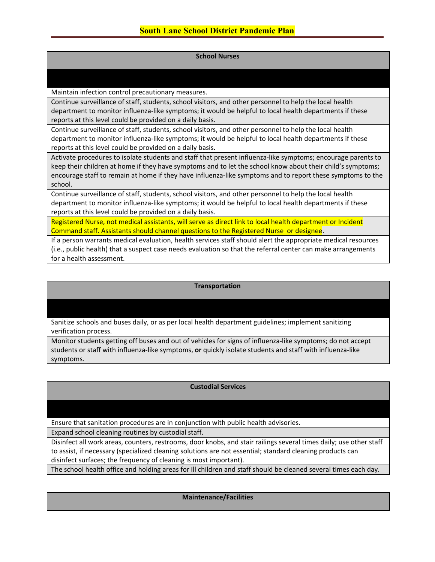| <b>School Nurses</b>                                                                                                                                                                                                                                                                                                                                |
|-----------------------------------------------------------------------------------------------------------------------------------------------------------------------------------------------------------------------------------------------------------------------------------------------------------------------------------------------------|
|                                                                                                                                                                                                                                                                                                                                                     |
| Maintain infection control precautionary measures.                                                                                                                                                                                                                                                                                                  |
| Continue surveillance of staff, students, school visitors, and other personnel to help the local health<br>department to monitor influenza-like symptoms; it would be helpful to local health departments if these<br>reports at this level could be provided on a daily basis.                                                                     |
| Continue surveillance of staff, students, school visitors, and other personnel to help the local health<br>department to monitor influenza-like symptoms; it would be helpful to local health departments if these<br>reports at this level could be provided on a daily basis.                                                                     |
| Activate procedures to isolate students and staff that present influenza-like symptoms; encourage parents to<br>keep their children at home if they have symptoms and to let the school know about their child's symptoms;<br>encourage staff to remain at home if they have influenza-like symptoms and to report these symptoms to the<br>school. |
| Continue surveillance of staff, students, school visitors, and other personnel to help the local health<br>department to monitor influenza-like symptoms; it would be helpful to local health departments if these<br>reports at this level could be provided on a daily basis.                                                                     |
| Registered Nurse, not medical assistants, will serve as direct link to local health department or Incident<br>Command staff. Assistants should channel questions to the Registered Nurse or designee.                                                                                                                                               |
| If a person warrants medical evaluation, health services staff should alert the appropriate medical resources<br>(i.e., public health) that a suspect case needs evaluation so that the referral center can make arrangements<br>for a health assessment.                                                                                           |

# **Transportation**

Sanitize schools and buses daily, or as per local health department guidelines; implement sanitizing verification process.

Monitor students getting off buses and out of vehicles for signs of influenza-like symptoms; do not accept students or staff with influenza-like symptoms, **or** quickly isolate students and staff with influenza-like symptoms.

# **Custodial Services**

Ensure that sanitation procedures are in conjunction with public health advisories.

Expand school cleaning routines by custodial staff.

Disinfect all work areas, counters, restrooms, door knobs, and stair railings several times daily; use other staff to assist, if necessary (specialized cleaning solutions are not essential; standard cleaning products can disinfect surfaces; the frequency of cleaning is most important).

The school health office and holding areas for ill children and staff should be cleaned several times each day.

**Maintenance/Facilities**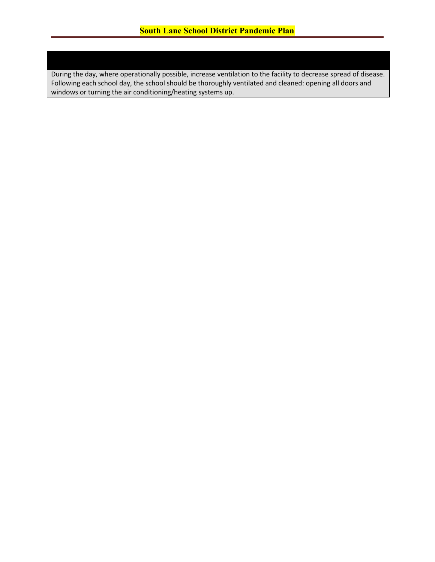During the day, where operationally possible, increase ventilation to the facility to decrease spread of disease. Following each school day, the school should be thoroughly ventilated and cleaned: opening all doors and windows or turning the air conditioning/heating systems up.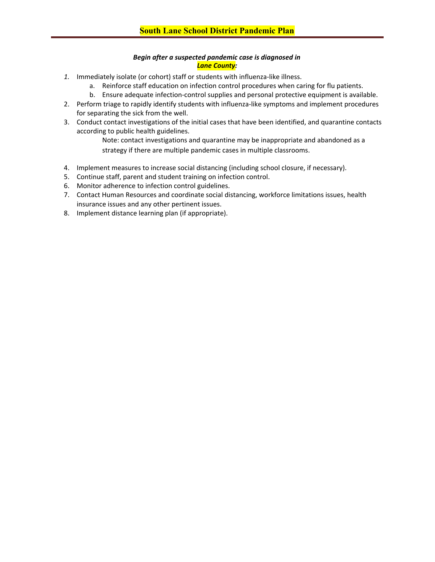# *Begin after a suspected pandemic case is diagnosed in Lane County:*

- *1.* Immediately isolate (or cohort) staff or students with influenza-like illness.
	- a. Reinforce staff education on infection control procedures when caring for flu patients.
	- b. Ensure adequate infection-control supplies and personal protective equipment is available.
- 2. Perform triage to rapidly identify students with influenza-like symptoms and implement procedures for separating the sick from the well.
- 3. Conduct contact investigations of the initial cases that have been identified, and quarantine contacts according to public health guidelines.

Note: contact investigations and quarantine may be inappropriate and abandoned as a strategy if there are multiple pandemic cases in multiple classrooms.

- 4. Implement measures to increase social distancing (including school closure, if necessary).
- 5. Continue staff, parent and student training on infection control.
- 6. Monitor adherence to infection control guidelines.
- 7. Contact Human Resources and coordinate social distancing, workforce limitations issues, health insurance issues and any other pertinent issues.
- 8. Implement distance learning plan (if appropriate).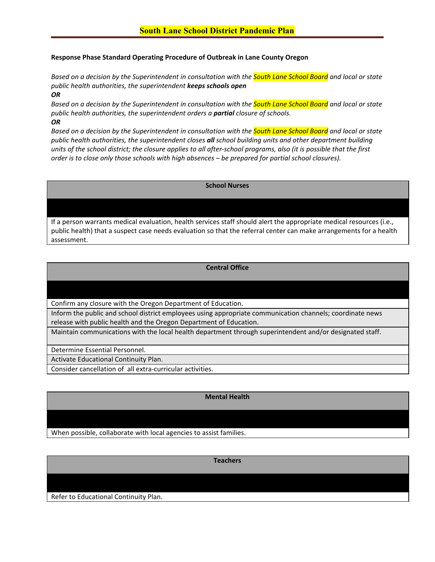# **Response Phase Standard Operating Procedure of Outbreak in Lane County Oregon**

*Based on a decision by the Superintendent in consultation with the South Lane School Board and local or state public health authorities, the superintendent keeps schools open OR*

*Based on a decision by the Superintendent in consultation with the South Lane School Board and local or state public health authorities, the superintendent orders a partial closure of schools.*

*OR*

*Based on a decision by the Superintendent in consultation with the South Lane School Board and local or state public health authorities, the superintendent closes all school building units and other department building units of the school district; the closure applies to all after-school programs, also (it is possible that the first order is to close only those schools with high absences – be prepared for partial school closures).*

# **School Nurses**

If a person warrants medical evaluation, health services staff should alert the appropriate medical resources (i.e., public health) that a suspect case needs evaluation so that the referral center can make arrangements for a health assessment.

# **Central Office**

# Confirm any closure with the Oregon Department of Education.

Inform the public and school district employees using appropriate communication channels; coordinate news release with public health and the Oregon Department of Education.

Maintain communications with the local health department through superintendent and/or designated staff.

Determine Essential Personnel.

Activate Educational Continuity Plan.

Consider cancellation of all extra-curricular activities.

# **Mental Health**

When possible, collaborate with local agencies to assist families.

**Teachers**

Refer to Educational Continuity Plan.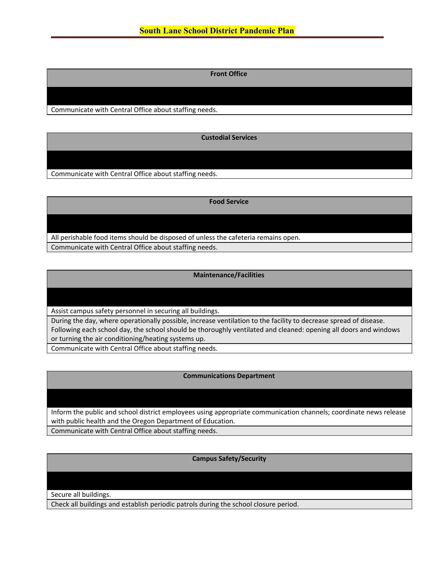**Front Office**

Communicate with Central Office about staffing needs.

**Custodial Services**

Communicate with Central Office about staffing needs.

**Food Service**

All perishable food items should be disposed of unless the cafeteria remains open.

Communicate with Central Office about staffing needs.

**Maintenance/Facilities**

Assist campus safety personnel in securing all buildings.

During the day, where operationally possible, increase ventilation to the facility to decrease spread of disease. Following each school day, the school should be thoroughly ventilated and cleaned: opening all doors and windows or turning the air conditioning/heating systems up.

Communicate with Central Office about staffing needs.

# **Communications Department**

Inform the public and school district employees using appropriate communication channels; coordinate news release with public health and the Oregon Department of Education. Communicate with Central Office about staffing needs.

**Campus Safety/Security**

Secure all buildings.

Check all buildings and establish periodic patrols during the school closure period.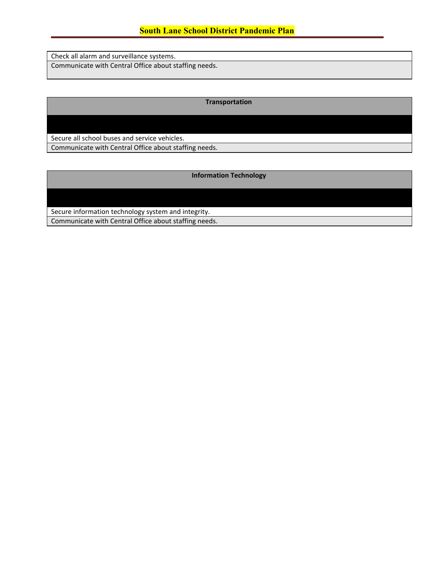# **South Lane School District Pandemic Plan**

Check all alarm and surveillance systems. Communicate with Central Office about staffing needs.

**Transportation**

Secure all school buses and service vehicles.

Communicate with Central Office about staffing needs.

**Information Technology**

Secure information technology system and integrity. Communicate with Central Office about staffing needs.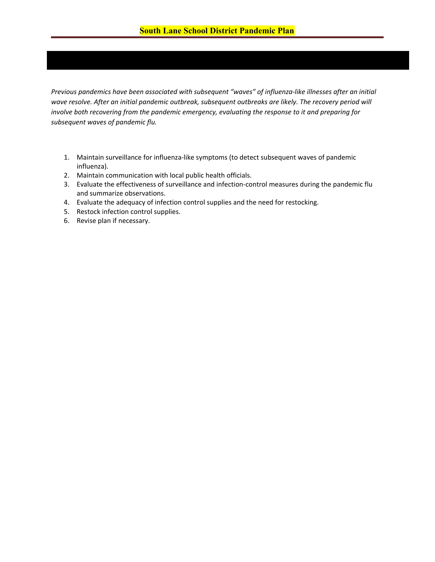<span id="page-16-0"></span>*Previous pandemics have been associated with subsequent "waves" of influenza-like illnesses after an initial* wave resolve. After an initial pandemic outbreak, subsequent outbreaks are likely. The recovery period will *involve both recovering from the pandemic emergency, evaluating the response to it and preparing for subsequent waves of pandemic flu.*

- 1. Maintain surveillance for influenza-like symptoms (to detect subsequent waves of pandemic influenza).
- 2. Maintain communication with local public health officials.
- 3. Evaluate the effectiveness of surveillance and infection-control measures during the pandemic flu and summarize observations.
- 4. Evaluate the adequacy of infection control supplies and the need for restocking.
- 5. Restock infection control supplies.
- <span id="page-16-1"></span>6. Revise plan if necessary.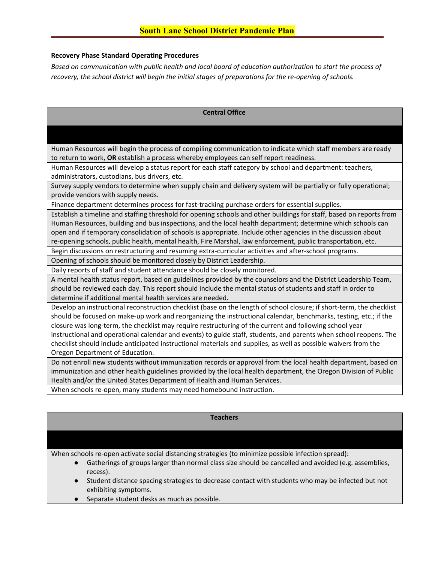## **Recovery Phase Standard Operating Procedures**

*Based on communication with public health and local board of education authorization to start the process of recovery, the school district will begin the initial stages of preparations for the re-opening of schools.*

## **Central Office**

Human Resources will begin the process of compiling communication to indicate which staff members are ready to return to work, **OR** establish a process whereby employees can self report readiness.

Human Resources will develop a status report for each staff category by school and department: teachers, administrators, custodians, bus drivers, etc.

Survey supply vendors to determine when supply chain and delivery system will be partially or fully operational; provide vendors with supply needs.

Finance department determines process for fast-tracking purchase orders for essential supplies.

Establish a timeline and staffing threshold for opening schools and other buildings for staff, based on reports from Human Resources, building and bus inspections, and the local health department; determine which schools can open and if temporary consolidation of schools is appropriate. Include other agencies in the discussion about re-opening schools, public health, mental health, Fire Marshal, law enforcement, public transportation, etc.

Begin discussions on restructuring and resuming extra-curricular activities and after-school programs.

Opening of schools should be monitored closely by District Leadership.

Daily reports of staff and student attendance should be closely monitored.

A mental health status report, based on guidelines provided by the counselors and the District Leadership Team, should be reviewed each day. This report should include the mental status of students and staff in order to determine if additional mental health services are needed.

Develop an instructional reconstruction checklist (base on the length of school closure; if short-term, the checklist should be focused on make-up work and reorganizing the instructional calendar, benchmarks, testing, etc.; if the closure was long-term, the checklist may require restructuring of the current and following school year instructional and operational calendar and events) to guide staff, students, and parents when school reopens. The checklist should include anticipated instructional materials and supplies, as well as possible waivers from the Oregon Department of Education.

Do not enroll new students without immunization records or approval from the local health department, based on immunization and other health guidelines provided by the local health department, the Oregon Division of Public Health and/or the United States Department of Health and Human Services.

When schools re-open, many students may need homebound instruction.

#### **Teachers**

When schools re-open activate social distancing strategies (to minimize possible infection spread):

- Gatherings of groups larger than normal class size should be cancelled and avoided (e.g. assemblies, recess).
- Student distance spacing strategies to decrease contact with students who may be infected but not exhibiting symptoms.
- Separate student desks as much as possible.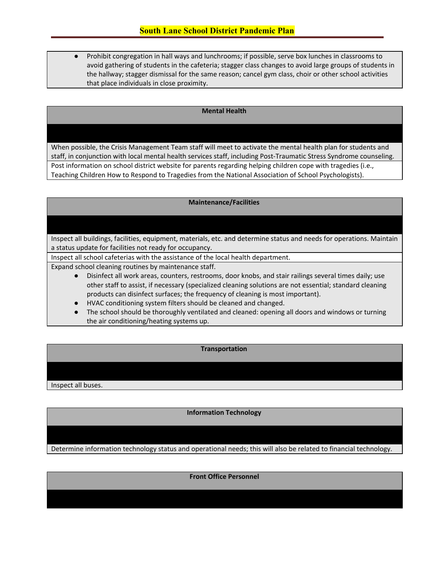Prohibit congregation in hall ways and lunchrooms; if possible, serve box lunches in classrooms to avoid gathering of students in the cafeteria; stagger class changes to avoid large groups of students in the hallway; stagger dismissal for the same reason; cancel gym class, choir or other school activities that place individuals in close proximity.

#### **Mental Health**

When possible, the Crisis Management Team staff will meet to activate the mental health plan for students and staff, in conjunction with local mental health services staff, including Post-Traumatic Stress Syndrome counseling. Post information on school district website for parents regarding helping children cope with tragedies (i.e., Teaching Children How to Respond to Tragedies from the National Association of School Psychologists).

#### **Maintenance/Facilities**

Inspect all buildings, facilities, equipment, materials, etc. and determine status and needs for operations. Maintain a status update for facilities not ready for occupancy.

Inspect all school cafeterias with the assistance of the local health department.

Expand school cleaning routines by maintenance staff.

- Disinfect all work areas, counters, restrooms, door knobs, and stair railings several times daily; use other staff to assist, if necessary (specialized cleaning solutions are not essential; standard cleaning products can disinfect surfaces; the frequency of cleaning is most important).
- HVAC conditioning system filters should be cleaned and changed.
- The school should be thoroughly ventilated and cleaned: opening all doors and windows or turning the air conditioning/heating systems up.

# **Transportation**

Inspect all buses.

**Information Technology**

Determine information technology status and operational needs; this will also be related to financial technology.

**Front Office Personnel**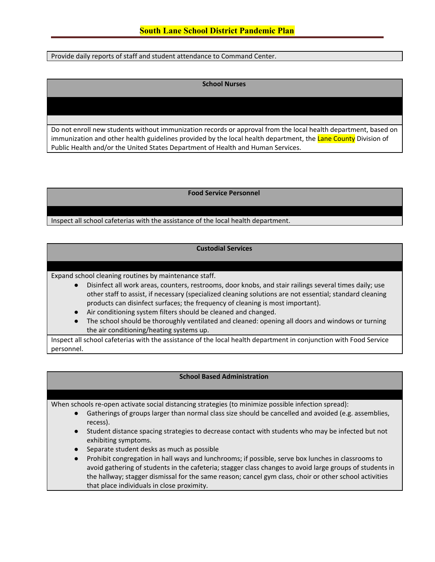Provide daily reports of staff and student attendance to Command Center.

#### **School Nurses**

Do not enroll new students without immunization records or approval from the local health department, based on immunization and other health guidelines provided by the local health department, the Lane County Division of Public Health and/or the United States Department of Health and Human Services.

#### **Food Service Personnel**

Inspect all school cafeterias with the assistance of the local health department.

# **Custodial Services**

Expand school cleaning routines by maintenance staff.

- Disinfect all work areas, counters, restrooms, door knobs, and stair railings several times daily; use other staff to assist, if necessary (specialized cleaning solutions are not essential; standard cleaning products can disinfect surfaces; the frequency of cleaning is most important).
- Air conditioning system filters should be cleaned and changed.
- The school should be thoroughly ventilated and cleaned: opening all doors and windows or turning the air conditioning/heating systems up.

Inspect all school cafeterias with the assistance of the local health department in conjunction with Food Service personnel.

#### **School Based Administration**

When schools re-open activate social distancing strategies (to minimize possible infection spread):

- Gatherings of groups larger than normal class size should be cancelled and avoided (e.g. assemblies, recess).
- Student distance spacing strategies to decrease contact with students who may be infected but not exhibiting symptoms.
- Separate student desks as much as possible
- Prohibit congregation in hall ways and lunchrooms; if possible, serve box lunches in classrooms to avoid gathering of students in the cafeteria; stagger class changes to avoid large groups of students in the hallway; stagger dismissal for the same reason; cancel gym class, choir or other school activities that place individuals in close proximity.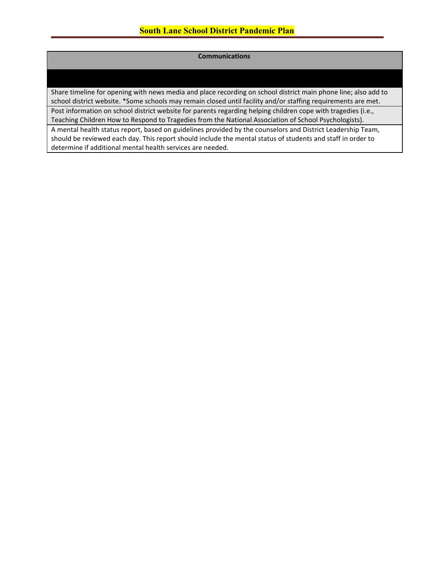# **Communications**

Share timeline for opening with news media and place recording on school district main phone line; also add to school district website. \*Some schools may remain closed until facility and/or staffing requirements are met. Post information on school district website for parents regarding helping children cope with tragedies (i.e., Teaching Children How to Respond to Tragedies from the National Association of School Psychologists).

A mental health status report, based on guidelines provided by the counselors and District Leadership Team, should be reviewed each day. This report should include the mental status of students and staff in order to determine if additional mental health services are needed.